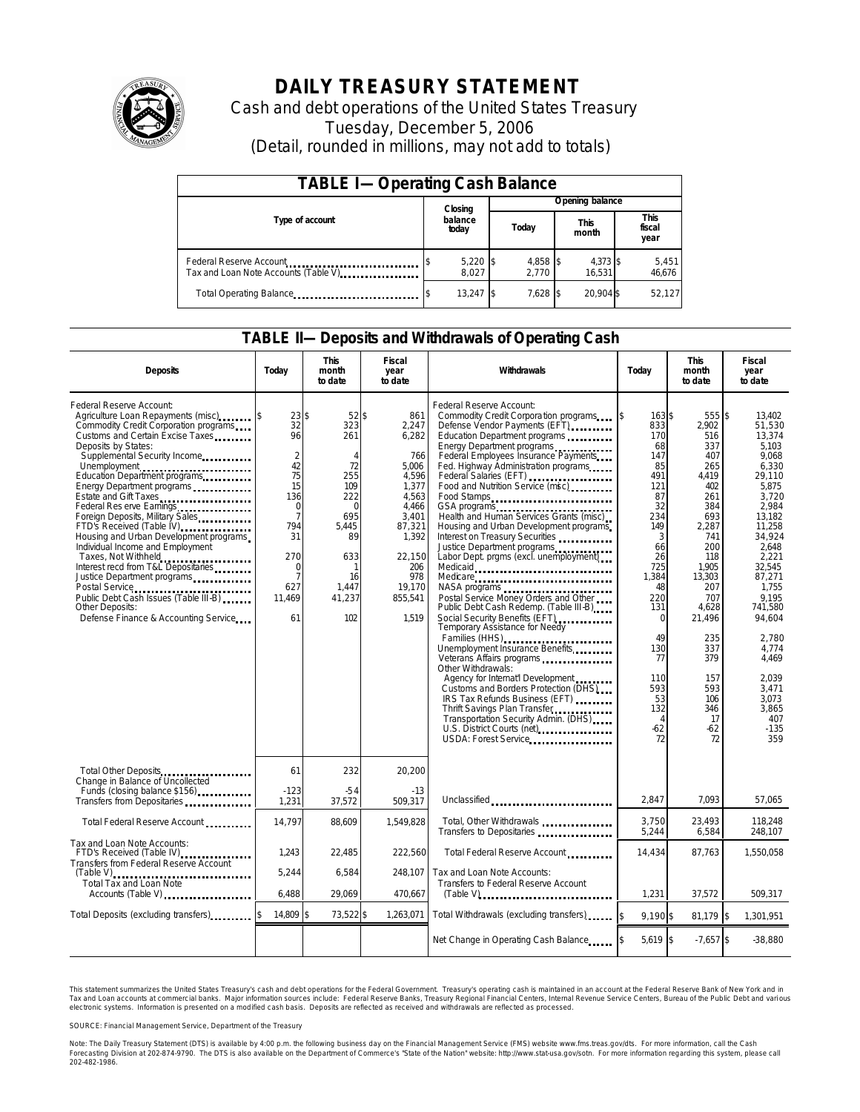

# **DAILY TREASURY STATEMENT**

Cash and debt operations of the United States Treasury Tuesday, December 5, 2006 (Detail, rounded in millions, may not add to totals)

| <b>TABLE I-Operating Cash Balance</b>                            |                  |                     |  |                               |  |                    |                               |                 |
|------------------------------------------------------------------|------------------|---------------------|--|-------------------------------|--|--------------------|-------------------------------|-----------------|
|                                                                  |                  | Closing             |  | Opening balance               |  |                    |                               |                 |
| Type of account                                                  | balance<br>today |                     |  | <b>This</b><br>Today<br>month |  |                    | <b>This</b><br>fiscal<br>year |                 |
| Federal Reserve Account<br>Tax and Loan Note Accounts (Table V). |                  | $5,220$ \$<br>8.027 |  | 4,858 \$<br>2.770             |  | 4,373 \$<br>16.531 |                               | 5,451<br>46,676 |
| Total Operating Balance                                          |                  | $13.247$ \$         |  | 7,628 \$                      |  | 20.904 \$          |                               | 52,127          |

#### **TABLE II—Deposits and Withdrawals of Operating Cash**

| <b>Deposits</b>                                                                                                                                                                                                                                                                                                                                                                                                                                                                                                                                                                                                                                                          | Today                                                                                                                                                                   | <b>This</b><br>month<br>to date                                                                                                                   | <b>Fiscal</b><br>year<br>to date                                                                                                                            | Withdrawals                                                                                                                                                                                                                                                                                                                                                                                                                                                                                                                                                                                                                                                                                                                                                                                                                                                                                                                                                                                                                                                                                   | Today                                                                                                                                                                                                                         | <b>This</b><br>month<br>to date                                                                                                                                                                                                        | <b>Fiscal</b><br>year<br>to date                                                                                                                                                                                                                                                             |
|--------------------------------------------------------------------------------------------------------------------------------------------------------------------------------------------------------------------------------------------------------------------------------------------------------------------------------------------------------------------------------------------------------------------------------------------------------------------------------------------------------------------------------------------------------------------------------------------------------------------------------------------------------------------------|-------------------------------------------------------------------------------------------------------------------------------------------------------------------------|---------------------------------------------------------------------------------------------------------------------------------------------------|-------------------------------------------------------------------------------------------------------------------------------------------------------------|-----------------------------------------------------------------------------------------------------------------------------------------------------------------------------------------------------------------------------------------------------------------------------------------------------------------------------------------------------------------------------------------------------------------------------------------------------------------------------------------------------------------------------------------------------------------------------------------------------------------------------------------------------------------------------------------------------------------------------------------------------------------------------------------------------------------------------------------------------------------------------------------------------------------------------------------------------------------------------------------------------------------------------------------------------------------------------------------------|-------------------------------------------------------------------------------------------------------------------------------------------------------------------------------------------------------------------------------|----------------------------------------------------------------------------------------------------------------------------------------------------------------------------------------------------------------------------------------|----------------------------------------------------------------------------------------------------------------------------------------------------------------------------------------------------------------------------------------------------------------------------------------------|
| Federal Reserve Account:<br>Agriculture Loan Repayments (misc)<br>Commodity Credit Corporation programs<br>Customs and Certain Excise Taxes<br>Deposits by States:<br>Supplemental Security Income<br>Education Department programs<br>Energy Department programs<br>Estate and Gift Taxes<br>Federal Res erve Earnings.<br>Foreign Deposits, Military Sales<br>FTD's Received (Table IV)<br>Housing and Urban Development programs<br>Individual Income and Employment<br>Taxes, Not Withheld<br>Interest recd from T&L Depositaries<br>Justice Department programs<br>Public Debt Cash Issues (Table III-B)<br>Other Deposits:<br>Defense Finance & Accounting Service | 23S<br>32<br>96<br>$\overline{2}$<br>42<br>75<br>15<br>136<br>$\mathbf 0$<br>$\overline{7}$<br>794<br>31<br>270<br>$\mathbf 0$<br>$\overline{7}$<br>627<br>11,469<br>61 | $52$ \$<br>323<br>261<br>$\overline{A}$<br>72<br>255<br>109<br>222<br>$\Omega$<br>695<br>5,445<br>89<br>633<br>-1<br>16<br>1,447<br>41,237<br>102 | 861<br>2,247<br>6,282<br>766<br>5,006<br>4.596<br>1,377<br>4,563<br>4.466<br>3.401<br>87,321<br>1,392<br>22,150<br>206<br>978<br>19.170<br>855,541<br>1,519 | Federal Reserve Account:<br>Commodity Credit Corporation programs<br>Defense Vendor Payments (EFT)<br>Education Department programs<br>Energy Department programs<br>Federal Employees Insurance Payments<br>Fed. Highway Administration programs<br>Federal Salaries (EFT)<br>Food and Nutrition Service (msc)<br>Food Stamps<br>GSA programs<br>Health and Human Services Grants (misc).<br>Housing and Urban Development programs<br>Interest on Treasury Securities<br>Justice Department programs<br>Labor Dept. prgms (excl. unemployment)<br>Medicare<br>NASA programs<br>Postal Service Money Orders and Other<br>Public Debt Cash Redemp. (Table III-B)<br>Social Security Benefits (EFT)<br><br>Temporary Assistance for Needy<br>Families (HHS)<br>Unemployment Insurance Benefits<br>Veterans Affairs programs<br>Other Withdrawals:<br>Agency for Internat'l Development<br>Customs and Borders Protection (DHS)<br>IRS Tax Refunds Business (EFT)<br>Thrift Savings Plan Transfer<br>Transportation Security Admin. (DHS)<br>U.S. District Courts (nét)<br>USDA: Forest Service | 163S<br>833<br>170<br>68<br>147<br>85<br>491<br>121<br>87<br>32<br>234<br>149<br>3<br>66<br>26<br>725<br>1,384<br>48<br>220<br>131<br>$\Omega$<br>49<br>130<br>77<br>110<br>593<br>53<br>132<br>$\overline{4}$<br>$-62$<br>72 | 555 \$<br>2,902<br>516<br>337<br>407<br>265<br>4.419<br>402<br>261<br>384<br>693<br>2,287<br>741<br>200<br>118<br>1,905<br>13,303<br>207<br>707<br>4,628<br>21,496<br>235<br>337<br>379<br>157<br>593<br>106<br>346<br>17<br>-62<br>72 | 13.402<br>51,530<br>13.374<br>5.103<br>9.068<br>6.330<br>29.110<br>5.875<br>3.720<br>2.984<br>13.182<br>11,258<br>34,924<br>2,648<br>2,221<br>32,545<br>87.271<br>1.755<br>9.195<br>741,580<br>94,604<br>2.780<br>4.774<br>4,469<br>2.039<br>3.471<br>3.073<br>3,865<br>407<br>$-135$<br>359 |
| Total Other Deposits<br>Change in Balance of Uncollected                                                                                                                                                                                                                                                                                                                                                                                                                                                                                                                                                                                                                 | 61                                                                                                                                                                      | 232                                                                                                                                               | 20,200                                                                                                                                                      |                                                                                                                                                                                                                                                                                                                                                                                                                                                                                                                                                                                                                                                                                                                                                                                                                                                                                                                                                                                                                                                                                               |                                                                                                                                                                                                                               |                                                                                                                                                                                                                                        |                                                                                                                                                                                                                                                                                              |
| Funds (closing balance \$156)<br>Funds (closing balance \$156)<br>Transfers from Depositaries                                                                                                                                                                                                                                                                                                                                                                                                                                                                                                                                                                            | $-123$<br>1,231                                                                                                                                                         | $-54$<br>37,572                                                                                                                                   | $-13$<br>509,317                                                                                                                                            | Unclassified                                                                                                                                                                                                                                                                                                                                                                                                                                                                                                                                                                                                                                                                                                                                                                                                                                                                                                                                                                                                                                                                                  | 2,847                                                                                                                                                                                                                         | 7,093                                                                                                                                                                                                                                  | 57,065                                                                                                                                                                                                                                                                                       |
| Total Federal Reserve Account                                                                                                                                                                                                                                                                                                                                                                                                                                                                                                                                                                                                                                            | 14,797                                                                                                                                                                  | 88,609                                                                                                                                            | 1,549,828                                                                                                                                                   | Total, Other Withdrawals<br>Transfers to Depositaries                                                                                                                                                                                                                                                                                                                                                                                                                                                                                                                                                                                                                                                                                                                                                                                                                                                                                                                                                                                                                                         | 3,750<br>5,244                                                                                                                                                                                                                | 23,493<br>6,584                                                                                                                                                                                                                        | 118,248<br>248,107                                                                                                                                                                                                                                                                           |
| Tax and Loan Note Accounts:<br>FTD's Received (Table IV)<br>Transfers from Federal Reserve Account                                                                                                                                                                                                                                                                                                                                                                                                                                                                                                                                                                       | 1,243<br>5,244                                                                                                                                                          | 22,485<br>6,584                                                                                                                                   | 222,560<br>248.107                                                                                                                                          | Total Federal Reserve Account<br>Tax and Loan Note Accounts:                                                                                                                                                                                                                                                                                                                                                                                                                                                                                                                                                                                                                                                                                                                                                                                                                                                                                                                                                                                                                                  | 14,434                                                                                                                                                                                                                        | 87,763                                                                                                                                                                                                                                 | 1,550,058                                                                                                                                                                                                                                                                                    |
| $(Table V)$<br>Total Tax and Loan Note<br>Accounts (Table V)                                                                                                                                                                                                                                                                                                                                                                                                                                                                                                                                                                                                             | 6,488                                                                                                                                                                   | 29,069                                                                                                                                            | 470,667                                                                                                                                                     | Transfers to Federal Reserve Account                                                                                                                                                                                                                                                                                                                                                                                                                                                                                                                                                                                                                                                                                                                                                                                                                                                                                                                                                                                                                                                          | 1,231                                                                                                                                                                                                                         | 37,572                                                                                                                                                                                                                                 | 509,317                                                                                                                                                                                                                                                                                      |
| Total Deposits (excluding transfers)                                                                                                                                                                                                                                                                                                                                                                                                                                                                                                                                                                                                                                     | 14,809 \$                                                                                                                                                               | 73,522 \$                                                                                                                                         | 1,263,071                                                                                                                                                   | Total Withdrawals (excluding transfers)                                                                                                                                                                                                                                                                                                                                                                                                                                                                                                                                                                                                                                                                                                                                                                                                                                                                                                                                                                                                                                                       | 9.190 \$                                                                                                                                                                                                                      | 81,179 \$                                                                                                                                                                                                                              | 1.301.951                                                                                                                                                                                                                                                                                    |
|                                                                                                                                                                                                                                                                                                                                                                                                                                                                                                                                                                                                                                                                          |                                                                                                                                                                         |                                                                                                                                                   |                                                                                                                                                             | Net Change in Operating Cash Balance                                                                                                                                                                                                                                                                                                                                                                                                                                                                                                                                                                                                                                                                                                                                                                                                                                                                                                                                                                                                                                                          | $5,619$ \$                                                                                                                                                                                                                    | $-7,657$ \$                                                                                                                                                                                                                            | $-38,880$                                                                                                                                                                                                                                                                                    |

This statement summarizes the United States Treasury's cash and debt operations for the Federal Government. Treasury's operating cash is maintained in an account at the Federal Reserve Bank of New York and in Tax and Loan accounts at commercial banks. Major information sources include: Federal Reserve Banks, Treasury Regional Financial Centers, Internal Revenue Service Centers, Bureau of the Public Debt and various<br>electronic s

SOURCE: Financial Management Service, Department of the Treasury

Note: The Daily Treasury Statement (DTS) is available by 4:00 p.m. the following business day on the Financial Management Service (FMS) website www.fms.treas.gov/dts.<br>Forecasting Division at 202-874-9790. The DTS is also 'S) is available by 4:00 p.m. the following business day on the Financial Management Service (FMS) website www.fms.treas.gov/dts. For more information, call the Cash<br>The DTS is also available on the Department of Commerce'